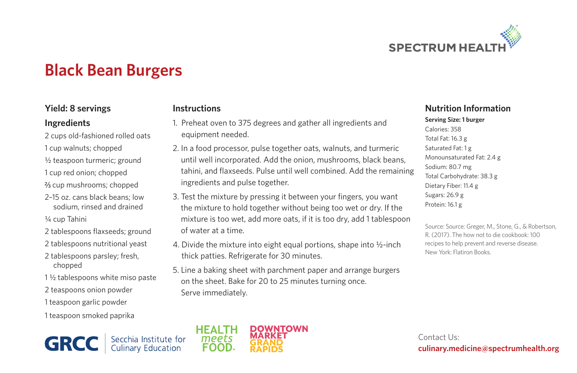

# **Black Bean Burgers**

#### **Yield: 8 servings**

#### **Ingredients**

- 2 cups old-fashioned rolled oats
- 1 cup walnuts; chopped
- ½ teaspoon turmeric; ground
- 1 cup red onion; chopped
- cup mushrooms; chopped
- 2–15 oz. cans black beans; low sodium, rinsed and drained
- ¼ cup Tahini
- 2 tablespoons flaxseeds; ground
- 2 tablespoons nutritional yeast
- 2 tablespoons parsley; fresh, chopped
- 1 ½ tablespoons white miso paste
- 2 teaspoons onion powder
- 1 teaspoon garlic powder
- 1 teaspoon smoked paprika

**GRC** Secchia Institute for<br>Culinary Education

#### **Instructions**

- 1. Preheat oven to 375 degrees and gather all ingredients and equipment needed.
- 2. In a food processor, pulse together oats, walnuts, and turmeric until well incorporated. Add the onion, mushrooms, black beans, tahini, and flaxseeds. Pulse until well combined. Add the remaining ingredients and pulse together.
- 3. Test the mixture by pressing it between your fingers, you want the mixture to hold together without being too wet or dry. If the mixture is too wet, add more oats, if it is too dry, add 1 tablespoon of water at a time.
- 4. Divide the mixture into eight equal portions, shape into  $\frac{1}{2}$ -inch thick patties. Refrigerate for 30 minutes.
- 5. Line a baking sheet with parchment paper and arrange burgers on the sheet. Bake for 20 to 25 minutes turning once. Serve immediately.

### **Nutrition Information**

**Serving Size: 1 burger** Calories: 358 Total Fat: 16.3 g Saturated Fat: 1 g Monounsaturated Fat: 2.4 g Sodium: 80.7 mg Total Carbohydrate: 38.3 g Dietary Fiber: 11.4 g Sugars: 26.9 g Protein: 16.1 g

Source: Source: Greger, M., Stone, G., & Robertson, R. (2017). The how not to die cookbook: 100 recipes to help prevent and reverse disease. New York: Flatiron Books.

Contact Us: **culinary.medicine@spectrumhealth.org**